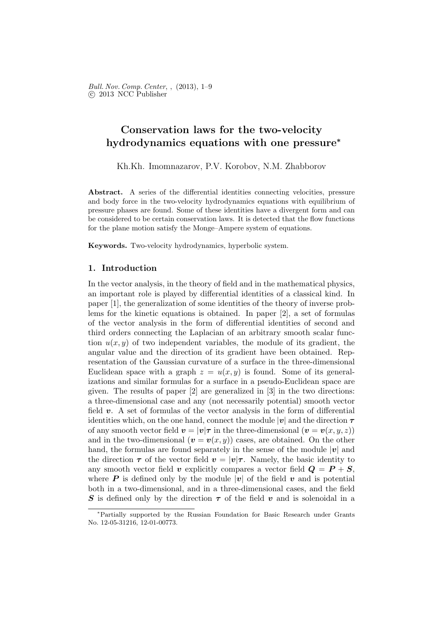# Conservation laws for the two-velocity hydrodynamics equations with one pressure<sup>∗</sup>

Kh.Kh. Imomnazarov, P.V. Korobov, N.M. Zhabborov

Abstract. A series of the differential identities connecting velocities, pressure and body force in the two-velocity hydrodynamics equations with equilibrium of pressure phases are found. Some of these identities have a divergent form and can be considered to be certain conservation laws. It is detected that the flow functions for the plane motion satisfy the Monge–Ampere system of equations.

Keywords. Two-velocity hydrodynamics, hyperbolic system.

## 1. Introduction

In the vector analysis, in the theory of field and in the mathematical physics, an important role is played by differential identities of a classical kind. In paper [1], the generalization of some identities of the theory of inverse problems for the kinetic equations is obtained. In paper [2], a set of formulas of the vector analysis in the form of differential identities of second and third orders connecting the Laplacian of an arbitrary smooth scalar function  $u(x, y)$  of two independent variables, the module of its gradient, the angular value and the direction of its gradient have been obtained. Representation of the Gaussian curvature of a surface in the three-dimensional Euclidean space with a graph  $z = u(x, y)$  is found. Some of its generalizations and similar formulas for a surface in a pseudo-Euclidean space are given. The results of paper [2] are generalized in [3] in the two directions: a three-dimensional case and any (not necessarily potential) smooth vector field v. A set of formulas of the vector analysis in the form of differential identities which, on the one hand, connect the module  $|v|$  and the direction  $\tau$ of any smooth vector field  $\mathbf{v} = |\mathbf{v}|\boldsymbol{\tau}$  in the three-dimensional  $(\mathbf{v} = \mathbf{v}(x, y, z))$ and in the two-dimensional  $(v = v(x, y))$  cases, are obtained. On the other hand, the formulas are found separately in the sense of the module  $|v|$  and the direction  $\tau$  of the vector field  $v = |v|\tau$ . Namely, the basic identity to any smooth vector field v explicitly compares a vector field  $Q = P + S$ . where **P** is defined only by the module  $|v|$  of the field v and is potential both in a two-dimensional, and in a three-dimensional cases, and the field S is defined only by the direction  $\tau$  of the field v and is solenoidal in a

<sup>∗</sup>Partially supported by the Russian Foundation for Basic Research under Grants No. 12-05-31216, 12-01-00773.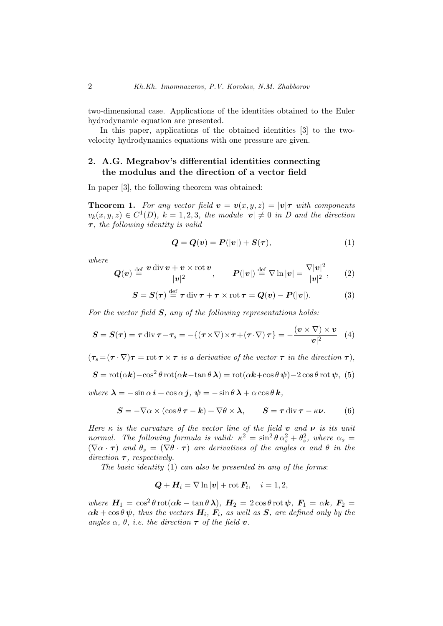two-dimensional case. Applications of the identities obtained to the Euler hydrodynamic equation are presented.

In this paper, applications of the obtained identities [3] to the twovelocity hydrodynamics equations with one pressure are given.

# 2. A.G. Megrabov's differential identities connecting the modulus and the direction of a vector field

In paper [3], the following theorem was obtained:

**Theorem 1.** For any vector field  $v = v(x, y, z) = |v|\tau$  with components  $v_k(x, y, z) \in C^1(D)$ ,  $k = 1, 2, 3$ , the module  $|v| \neq 0$  in D and the direction  $\tau$ , the following identity is valid

$$
Q = Q(v) = P(|v|) + S(\tau), \tag{1}
$$

where

$$
\mathbf{Q(v)} \stackrel{\text{def}}{=} \frac{\mathbf{v} \operatorname{div} \mathbf{v} + \mathbf{v} \times \operatorname{rot} \mathbf{v}}{|\mathbf{v}|^2}, \qquad \mathbf{P}(|\mathbf{v}|) \stackrel{\text{def}}{=} \nabla \ln |\mathbf{v}| = \frac{\nabla |\mathbf{v}|^2}{|\mathbf{v}|^2}, \qquad (2)
$$

$$
S = S(\tau) \stackrel{\text{def}}{=} \tau \operatorname{div} \tau + \tau \times \operatorname{rot} \tau = Q(v) - P(|v|). \tag{3}
$$

For the vector field  $S$ , any of the following representations holds:

$$
S = S(\tau) = \tau \operatorname{div} \tau - \tau_s = -\{(\tau \times \nabla) \times \tau + (\tau \cdot \nabla) \tau\} = -\frac{(v \times \nabla) \times v}{|v|^2} \tag{4}
$$

 $(\tau_s = (\tau \cdot \nabla) \tau = \text{rot } \tau \times \tau$  is a derivative of the vector  $\tau$  in the direction  $\tau$ ),

$$
\mathbf{S} = \cot(\alpha \mathbf{k}) - \cos^2 \theta \cot(\alpha \mathbf{k} - \tan \theta \mathbf{\lambda}) = \cot(\alpha \mathbf{k} + \cos \theta \mathbf{\psi}) - 2\cos \theta \cot \mathbf{\psi}, \tag{5}
$$

where  $\lambda = -\sin \alpha \, i + \cos \alpha \, j$ ,  $\psi = -\sin \theta \, \lambda + \alpha \cos \theta \, k$ ,

$$
S = -\nabla \alpha \times (\cos \theta \, \tau - \mathbf{k}) + \nabla \theta \times \boldsymbol{\lambda}, \qquad S = \tau \, \text{div} \, \tau - \kappa \boldsymbol{\nu}. \tag{6}
$$

Here  $\kappa$  is the curvature of the vector line of the field **v** and **v** is its unit normal. The following formula is valid:  $\kappa^2 = \sin^2 \theta \alpha_s^2 + \theta_s^2$ , where  $\alpha_s =$  $(\nabla \alpha \cdot \tau)$  and  $\theta_s = (\nabla \theta \cdot \tau)$  are derivatives of the angles  $\alpha$  and  $\theta$  in the direction  $\tau$ , respectively.

The basic identity (1) can also be presented in any of the forms:

$$
Q + H_i = \nabla \ln |\mathbf{v}| + \operatorname{rot} \mathbf{F}_i, \quad i = 1, 2,
$$

where  $H_1 = \cos^2 \theta \, \text{rot}(\alpha \mathbf{k} - \tan \theta \, \lambda), H_2 = 2 \cos \theta \, \text{rot} \, \psi, F_1 = \alpha \mathbf{k}, F_2 =$  $\alpha k + \cos \theta \psi$ , thus the vectors  $H_i$ ,  $F_i$ , as well as S, are defined only by the angles  $\alpha$ ,  $\theta$ , *i.e.* the direction  $\tau$  of the field **v**.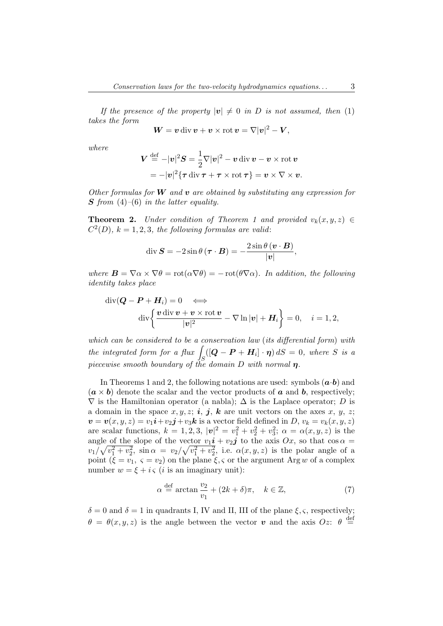If the presence of the property  $|v| \neq 0$  in D is not assumed, then (1) takes the form

$$
W = v \operatorname{div} v + v \times \operatorname{rot} v = \nabla |v|^2 - V,
$$

where

$$
\boldsymbol{V} \stackrel{\text{def}}{=} -|\boldsymbol{v}|^2 \boldsymbol{S} = \frac{1}{2} \nabla |\boldsymbol{v}|^2 - \boldsymbol{v} \operatorname{div} \boldsymbol{v} - \boldsymbol{v} \times \operatorname{rot} \boldsymbol{v}
$$

$$
= -|\boldsymbol{v}|^2 \{ \boldsymbol{\tau} \operatorname{div} \boldsymbol{\tau} + \boldsymbol{\tau} \times \operatorname{rot} \boldsymbol{\tau} \} = \boldsymbol{v} \times \nabla \times \boldsymbol{v}.
$$

Other formulas for  $W$  and  $v$  are obtained by substituting any expression for S from  $(4)$ – $(6)$  in the latter equality.

**Theorem 2.** Under condition of Theorem 1 and provided  $v_k(x, y, z) \in$  $C^2(D)$ ,  $k = 1, 2, 3$ , the following formulas are valid:

$$
\operatorname{div}\boldsymbol{S}=-2\sin\theta\,(\boldsymbol{\tau}\cdot\boldsymbol{B})=-\frac{2\sin\theta\,(\boldsymbol{v}\cdot\boldsymbol{B})}{|\boldsymbol{v}|},
$$

where  $\mathbf{B} = \nabla \alpha \times \nabla \theta = \text{rot}(\alpha \nabla \theta) = -\text{rot}(\theta \nabla \alpha)$ . In addition, the following identity takes place

$$
\operatorname{div}(\boldsymbol{Q} - \boldsymbol{P} + \boldsymbol{H}_i) = 0 \iff
$$
  

$$
\operatorname{div}\left\{\frac{\boldsymbol{v} \operatorname{div} \boldsymbol{v} + \boldsymbol{v} \times \operatorname{rot} \boldsymbol{v}}{|\boldsymbol{v}|^2} - \nabla \ln |\boldsymbol{v}| + \boldsymbol{H}_i\right\} = 0, \quad i = 1, 2,
$$

which can be considered to be a conservation law (its differential form) with the integrated form for a flux  $\int_{S}([\boldsymbol{Q}-\boldsymbol{P}+\boldsymbol{H}_{i}]\cdot\boldsymbol{\eta}) dS = 0$ , where S is a piecewise smooth boundary of the domain D with normal  $\eta$ .

In Theorems 1 and 2, the following notations are used: symbols  $(a \cdot b)$  and  $(a \times b)$  denote the scalar and the vector products of a and b, respectively;  $\nabla$  is the Hamiltonian operator (a nabla);  $\Delta$  is the Laplace operator; D is a domain in the space  $x, y, z; i, j, k$  are unit vectors on the axes  $x, y, z; j, k$  $\boldsymbol{v} = \boldsymbol{v}(x,y,z) = v_1\boldsymbol{i} + v_2\boldsymbol{j} + v_3\boldsymbol{k}$  is a vector field defined in  $D,$   $v_k = v_k(x,y,z)$ are scalar functions,  $k = 1, 2, 3, |\mathbf{v}|^2 = v_1^2 + v_2^2 + v_3^2$ ;  $\alpha = \alpha(x, y, z)$  is the angle of the slope of the vector  $v_1i + v_2j$  to the axis  $Ox$ , so that  $\cos \alpha =$  $v_1/\sqrt{v_1^2+v_2^2}$ ,  $\sin \alpha = v_2/\sqrt{v_1^2+v_2^2}$ , i.e.  $\alpha(x,y,z)$  is the polar angle of a point  $(\xi = v_1, \varsigma = v_2)$  on the plane  $\xi, \varsigma$  or the argument Arg w of a complex number  $w = \xi + i\varsigma$  (*i* is an imaginary unit):

$$
\alpha \stackrel{\text{def}}{=} \arctan \frac{v_2}{v_1} + (2k + \delta)\pi, \quad k \in \mathbb{Z}, \tag{7}
$$

 $\delta = 0$  and  $\delta = 1$  in quadrants I, IV and II, III of the plane  $\xi, \zeta$ , respectively;  $\theta = \theta(x, y, z)$  is the angle between the vector v and the axis  $Oz$ :  $\theta \stackrel{\text{def}}{=}$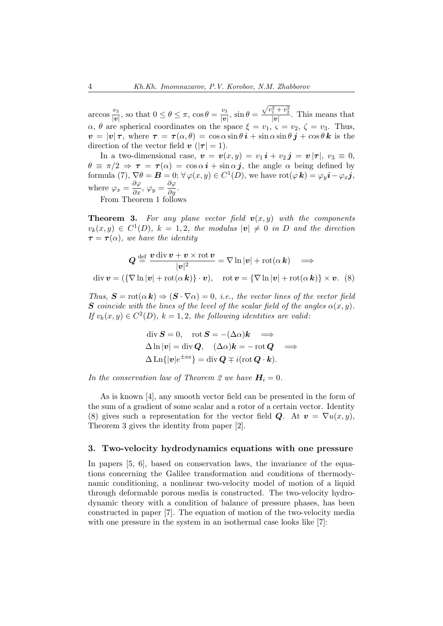arccos  $\frac{v_3}{|v_3|}$  $\frac{v_3}{|v|}$ , so that  $0 \le \theta \le \pi$ ,  $\cos \theta = \frac{v_3}{|v|}$  $\frac{v_3}{|v|}$ ,  $\sin \theta = \frac{\sqrt{v_1^2 + v_2^2}}{|v|}$ . This means that  $\alpha$ ,  $\theta$  are spherical coordinates on the space  $\xi = v_1, \zeta = v_2, \zeta = v_3$ . Thus,  $v = |v|\tau$ , where  $\tau = \tau(\alpha, \theta) = \cos \alpha \sin \theta \, \mathbf{i} + \sin \alpha \sin \theta \, \mathbf{j} + \cos \theta \, \mathbf{k}$  is the direction of the vector field  $\mathbf{v}$  ( $|\mathbf{\tau}| = 1$ ).

In a two-dimensional case,  $\mathbf{v} = \mathbf{v}(x, y) = v_1 \mathbf{i} + v_2 \mathbf{j} = \mathbf{v} |\mathbf{r}|, v_3 \equiv 0$ ,  $\theta \equiv \pi/2 \Rightarrow \tau = \tau(\alpha) = \cos \alpha \, \mathbf{i} + \sin \alpha \, \mathbf{j}$ , the angle  $\alpha$  being defined by formula (7),  $\nabla \theta = \mathbf{B} = 0$ ;  $\forall \varphi(x, y) \in C^1(D)$ , we have  $\text{rot}(\varphi \mathbf{k}) = \varphi_y \mathbf{i} - \varphi_x \mathbf{j}$ , where  $\varphi_x = \frac{\partial \varphi}{\partial x}, \varphi_y = \frac{\partial \varphi}{\partial y}.$ 

From Theorem 1 follows

**Theorem 3.** For any plane vector field  $v(x, y)$  with the components  $v_k(x,y) \in C^1(D)$ ,  $k = 1,2$ , the modulus  $|v| \neq 0$  in D and the direction  $\tau = \tau(\alpha)$ , we have the identity

$$
Q \stackrel{\text{def}}{=} \frac{v \operatorname{div} v + v \times \operatorname{rot} v}{|v|^2} = \nabla \ln |v| + \operatorname{rot}(\alpha \, k) \quad \Longrightarrow
$$
  
div  $v = (\{\nabla \ln |v| + \operatorname{rot}(\alpha \, k)\} \cdot v), \quad \operatorname{rot} v = \{\nabla \ln |v| + \operatorname{rot}(\alpha \, k)\} \times v.$  (8)

Thus,  $S = \text{rot}(\alpha \mathbf{k}) \Rightarrow (S \cdot \nabla \alpha) = 0$ , i.e., the vector lines of the vector field **S** coincide with the lines of the level of the scalar field of the angles  $\alpha(x, y)$ . If  $v_k(x, y) \in C^2(D)$ ,  $k = 1, 2$ , the following identities are valid:

$$
\operatorname{div} \mathbf{S} = 0, \quad \operatorname{rot} \mathbf{S} = -(\Delta \alpha) \mathbf{k} \implies \Delta \ln |\mathbf{v}| = \operatorname{div} \mathbf{Q}, \quad (\Delta \alpha) \mathbf{k} = -\operatorname{rot} \mathbf{Q} \implies \Delta \operatorname{Ln} \{ |\mathbf{v}| e^{\pm i\alpha} \} = \operatorname{div} \mathbf{Q} \mp i(\operatorname{rot} \mathbf{Q} \cdot \mathbf{k}).
$$

In the conservation law of Theorem 2 we have  $H_i = 0$ .

As is known [4], any smooth vector field can be presented in the form of the sum of a gradient of some scalar and a rotor of a certain vector. Identity (8) gives such a representation for the vector field Q. At  $v = \nabla u(x, y)$ , Theorem 3 gives the identity from paper [2].

#### 3. Two-velocity hydrodynamics equations with one pressure

In papers [5, 6], based on conservation laws, the invariance of the equations concerning the Galilee transformation and conditions of thermodynamic conditioning, a nonlinear two-velocity model of motion of a liquid through deformable porous media is constructed. The two-velocity hydrodynamic theory with a condition of balance of pressure phases, has been constructed in paper [7]. The equation of motion of the two-velocity media with one pressure in the system in an isothermal case looks like [7]: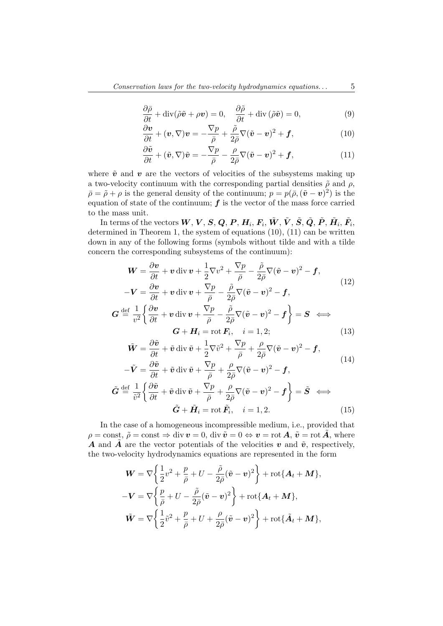$$
\frac{\partial \bar{\rho}}{\partial t} + \text{div}(\tilde{\rho}\tilde{\mathbf{v}} + \rho \mathbf{v}) = 0, \quad \frac{\partial \tilde{\rho}}{\partial t} + \text{div}(\tilde{\rho}\tilde{\mathbf{v}}) = 0,
$$
\n(9)

$$
\frac{\partial \boldsymbol{v}}{\partial t} + (\boldsymbol{v}, \nabla) \boldsymbol{v} = -\frac{\nabla p}{\bar{\rho}} + \frac{\tilde{\rho}}{2\bar{\rho}} \nabla (\tilde{\boldsymbol{v}} - \boldsymbol{v})^2 + \boldsymbol{f},
$$
(10)

$$
\frac{\partial \tilde{\mathbf{v}}}{\partial t} + (\tilde{\mathbf{v}}, \nabla)\tilde{\mathbf{v}} = -\frac{\nabla p}{\bar{\rho}} - \frac{\rho}{2\bar{\rho}}\nabla(\tilde{\mathbf{v}} - \mathbf{v})^2 + \mathbf{f},\tag{11}
$$

where  $\tilde{v}$  and  $v$  are the vectors of velocities of the subsystems making up a two-velocity continuum with the corresponding partial densities  $\tilde{\rho}$  and  $\rho$ ,  $\bar{\rho} = \tilde{\rho} + \rho$  is the general density of the continuum;  $p = p(\bar{\rho}, (\tilde{\boldsymbol{v}} - \boldsymbol{v})^2)$  is the equation of state of the continuum;  $f$  is the vector of the mass force carried to the mass unit.

In terms of the vectors  $\bm{W},\bm{V},\bm{S},\bm{Q},\bm{P},\bm{H}_i,\bm{F}_i,\tilde{\bm{W}},\tilde{\bm{V}},\tilde{\bm{S}},\tilde{\bm{Q}},\tilde{\bm{P}},\tilde{\bm{H}}_i,\tilde{\bm{F}}_i,$ determined in Theorem 1, the system of equations  $(10)$ ,  $(11)$  can be written down in any of the following forms (symbols without tilde and with a tilde concern the corresponding subsystems of the continuum):

$$
W = \frac{\partial v}{\partial t} + v \operatorname{div} v + \frac{1}{2} \nabla v^2 + \frac{\nabla p}{\bar{\rho}} - \frac{\tilde{\rho}}{2\bar{\rho}} \nabla (\tilde{v} - v)^2 - f,
$$
  
\n
$$
-V = \frac{\partial v}{\partial t} + v \operatorname{div} v + \frac{\nabla p}{\bar{\rho}} - \frac{\tilde{\rho}}{2\bar{\rho}} \nabla (\tilde{v} - v)^2 - f,
$$
  
\n
$$
G \stackrel{\text{def}}{=} \frac{1}{v^2} \left\{ \frac{\partial v}{\partial t} + v \operatorname{div} v + \frac{\nabla p}{\bar{\rho}} - \frac{\tilde{\rho}}{2\bar{\rho}} \nabla (\tilde{v} - v)^2 - f \right\} = S \iff
$$
  
\n
$$
G + H_i = \text{rot } F_i, \quad i = 1, 2;
$$
\n(13)

$$
\tilde{\boldsymbol{W}} = \frac{\partial \tilde{\boldsymbol{v}}}{\partial t} + \tilde{\boldsymbol{v}} \operatorname{div} \tilde{\boldsymbol{v}} + \frac{1}{2} \nabla \tilde{\boldsymbol{v}}^2 + \frac{\nabla p}{\bar{\rho}} + \frac{\rho}{2\bar{\rho}} \nabla (\tilde{\boldsymbol{v}} - \boldsymbol{v})^2 - \boldsymbol{f},
$$
\n(14)

$$
-\tilde{V} = \frac{\partial \tilde{v}}{\partial t} + \tilde{v} \operatorname{div} \tilde{v} + \frac{\nabla p}{\bar{\rho}} + \frac{\rho}{2\bar{\rho}} \nabla (\tilde{v} - v)^2 - f,
$$
  

$$
\tilde{G} \stackrel{\text{def}}{=} \frac{1}{\tilde{v}^2} \left\{ \frac{\partial \tilde{v}}{\partial t} + \tilde{v} \operatorname{div} \tilde{v} + \frac{\nabla p}{\bar{\rho}} + \frac{\rho}{2\bar{\rho}} \nabla (\tilde{v} - v)^2 - f \right\} = \tilde{S} \iff
$$
  

$$
\tilde{G} + \tilde{H}_i = \text{rot } \tilde{F}_i, \quad i = 1, 2.
$$
 (15)

In the case of a homogeneous incompressible medium, i.e., provided that  $\rho = \text{const}, \tilde{\rho} = \text{const} \Rightarrow \text{div } v = 0, \text{div } \tilde{v} = 0 \Leftrightarrow v = \text{rot } A, \tilde{v} = \text{rot } \tilde{A}$ , where **A** and  $\tilde{A}$  are the vector potentials of the velocities v and  $\tilde{v}$ , respectively, the two-velocity hydrodynamics equations are represented in the form

$$
\mathbf{W} = \nabla \left\{ \frac{1}{2} v^2 + \frac{p}{\bar{\rho}} + U - \frac{\tilde{\rho}}{2\bar{\rho}} (\tilde{\mathbf{v}} - \mathbf{v})^2 \right\} + \text{rot} \{\mathbf{A}_t + \mathbf{M}\},
$$
  

$$
-\mathbf{V} = \nabla \left\{ \frac{p}{\bar{\rho}} + U - \frac{\tilde{\rho}}{2\bar{\rho}} (\tilde{\mathbf{v}} - \mathbf{v})^2 \right\} + \text{rot} \{\mathbf{A}_t + \mathbf{M}\},
$$
  

$$
\tilde{\mathbf{W}} = \nabla \left\{ \frac{1}{2} \tilde{v}^2 + \frac{p}{\bar{\rho}} + U + \frac{\rho}{2\bar{\rho}} (\tilde{\mathbf{v}} - \mathbf{v})^2 \right\} + \text{rot} \{\tilde{\mathbf{A}}_t + \mathbf{M}\},
$$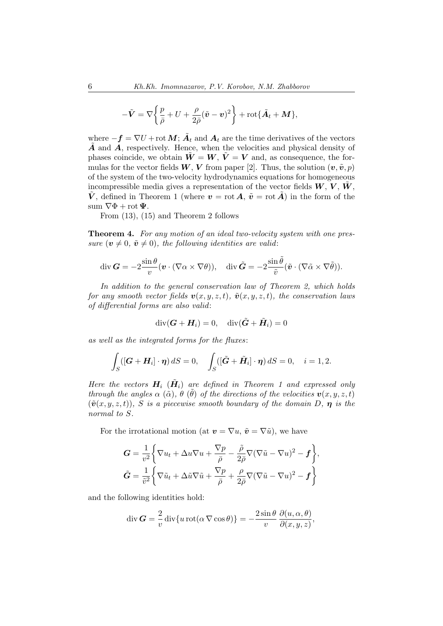$$
-\tilde{\boldsymbol{V}} = \nabla \bigg\{ \frac{p}{\bar{\rho}} + U + \frac{\rho}{2\bar{\rho}} (\tilde{\boldsymbol{v}} - \boldsymbol{v})^2 \bigg\} + \text{rot} \{\tilde{\boldsymbol{A}}_t + \boldsymbol{M}\},\
$$

where  $-f = \nabla U + \text{rot } M$ ;  $\tilde{A}_t$  and  $A_t$  are the time derivatives of the vectors  $\vec{A}$  and  $\vec{A}$ , respectively. Hence, when the velocities and physical density of phases coincide, we obtain  $\tilde{W} = W$ ,  $\tilde{V} = V$  and, as consequence, the formulas for the vector fields  $W, V$  from paper [2]. Thus, the solution  $(v, \tilde{v}, p)$ of the system of the two-velocity hydrodynamics equations for homogeneous incompressible media gives a representation of the vector fields  $W, V, W$ .  $\tilde{V}$ , defined in Theorem 1 (where  $v = \text{rot } \tilde{A}$ ,  $\tilde{v} = \text{rot } \tilde{A}$ ) in the form of the sum  $\nabla \Phi$  + rot  $\Psi$ .

From (13), (15) and Theorem 2 follows

Theorem 4. For any motion of an ideal two-velocity system with one pressure  $(\mathbf{v} \neq 0, \tilde{\mathbf{v}} \neq 0)$ , the following identities are valid:

$$
\operatorname{div} \mathbf{G} = -2 \frac{\sin \theta}{v} (\mathbf{v} \cdot (\nabla \alpha \times \nabla \theta)), \quad \operatorname{div} \tilde{\mathbf{G}} = -2 \frac{\sin \tilde{\theta}}{\tilde{v}} (\tilde{\mathbf{v}} \cdot (\nabla \tilde{\alpha} \times \nabla \tilde{\theta})).
$$

In addition to the general conservation law of Theorem 2, which holds for any smooth vector fields  $\mathbf{v}(x, y, z, t)$ ,  $\tilde{\mathbf{v}}(x, y, z, t)$ , the conservation laws of differential forms are also valid:

$$
\operatorname{div}(\bm{G}+\bm{H}_i)=0,\quad \operatorname{div}(\tilde{\bm{G}}+\tilde{\bm{H}}_i)=0
$$

as well as the integrated forms for the fluxes:

$$
\int_{S} ([\mathbf{G} + \mathbf{H}_{i}] \cdot \boldsymbol{\eta}) dS = 0, \quad \int_{S} ([\tilde{\mathbf{G}} + \tilde{\mathbf{H}}_{i}] \cdot \boldsymbol{\eta}) dS = 0, \quad i = 1, 2.
$$

Here the vectors  $H_i$   $(\tilde{H}_i)$  are defined in Theorem 1 and expressed only through the angles  $\alpha(\tilde{\alpha}), \theta(\tilde{\theta})$  of the directions of the velocities  $v(x, y, z, t)$  $(\tilde{\mathbf{v}}(x, y, z, t)), S$  is a piecewise smooth boundary of the domain D,  $\eta$  is the normal to S.

For the irrotational motion (at  $v = \nabla u$ ,  $\tilde{v} = \nabla \tilde{u}$ ), we have

$$
G = \frac{1}{v^2} \left\{ \nabla u_t + \Delta u \nabla u + \frac{\nabla p}{\overline{\rho}} - \frac{\tilde{\rho}}{2\overline{\rho}} \nabla (\nabla \tilde{u} - \nabla u)^2 - \mathbf{f} \right\},\
$$

$$
\tilde{G} = \frac{1}{\tilde{v}^2} \left\{ \nabla \tilde{u}_t + \Delta \tilde{u} \nabla \tilde{u} + \frac{\nabla p}{\overline{\rho}} + \frac{\rho}{2\overline{\rho}} \nabla (\nabla \tilde{u} - \nabla u)^2 - \mathbf{f} \right\}
$$

and the following identities hold:

$$
\operatorname{div} \mathbf{G} = -\frac{2}{v} \operatorname{div} \{ u \operatorname{rot} (\alpha \nabla \cos \theta) \} = -\frac{2 \sin \theta}{v} \frac{\partial (u, \alpha, \theta)}{\partial (x, y, z)},
$$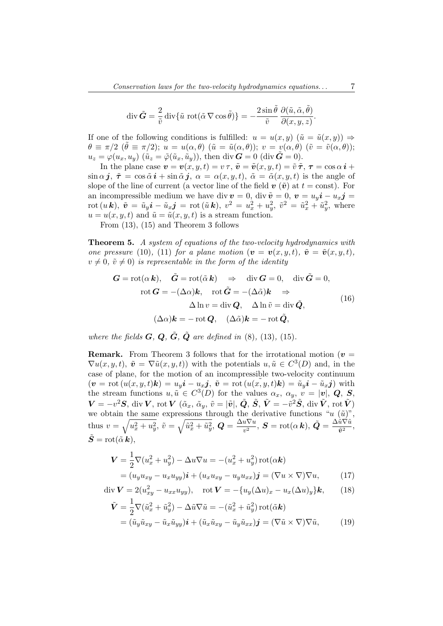$$
\operatorname{div} \tilde{G} = \frac{2}{\tilde{v}} \operatorname{div} {\{\tilde{u}\, \text{rot} (\tilde{\alpha} \nabla \cos \tilde{\theta})\}} = -\frac{2 \sin \tilde{\theta}}{\tilde{v}} \frac{\partial (\tilde{u}, \tilde{\alpha}, \tilde{\theta})}{\partial (x, y, z)}.
$$

If one of the following conditions is fulfilled:  $u = u(x, y)$   $(\tilde{u} = \tilde{u}(x, y)) \Rightarrow$  $\theta \equiv \pi/2 \; (\tilde{\theta} \equiv \pi/2); u = u(\alpha, \theta) \; (\tilde{u} = \tilde{u}(\alpha, \theta)); v = v(\alpha, \theta) \; (\tilde{v} = \tilde{v}(\alpha, \theta));$  $u_z = \varphi(u_x, u_y)$   $(\tilde{u}_z = \tilde{\varphi}(\tilde{u}_x, \tilde{u}_y))$ , then div  $\boldsymbol{G} = 0$  (div  $\boldsymbol{G} = 0$ ).

In the plane case  $v = v(x, y, t) = v \tau$ ,  $\tilde{v} = \tilde{v}(x, y, t) = \tilde{v} \tilde{\tau}$ ,  $\tau = \cos \alpha \mathbf{i} + \mathbf{j} \tau$  $\sin \alpha j$ ,  $\tilde{\tau} = \cos \tilde{\alpha} i + \sin \tilde{\alpha} j$ ,  $\alpha = \alpha(x, y, t)$ ,  $\tilde{\alpha} = \tilde{\alpha}(x, y, t)$  is the angle of slope of the line of current (a vector line of the field  $v(\tilde{v})$  at  $t = \text{const}$ ). For an incompressible medium we have div  $v = 0$ , div  $\tilde{v} = 0$ ,  $v = u_y i - u_x j =$  $\mathrm{rot}\,(u\,\bm{k}),\;\tilde{\bm{v}}\,=\,\tilde{u}_y\bm{i}\,-\,\tilde{u}_x\bm{j}\,=\,\mathrm{rot}\,(\tilde{u}\,\bm{k}),\;v^2\,=\,u_x^2+u_y^2,\;\tilde{v}^2\,=\,\tilde{u}_x^2+\tilde{u}_y^2,\;\mathrm{where}$  $u = u(x, y, t)$  and  $\tilde{u} = \tilde{u}(x, y, t)$  is a stream function.

From (13), (15) and Theorem 3 follows

Theorem 5. A system of equations of the two-velocity hydrodynamics with one pressure (10), (11) for a plane motion  $(v = v(x, y, t), \tilde{v} = \tilde{v}(x, y, t),$  $v \neq 0$ ,  $\tilde{v} \neq 0$ ) is representable in the form of the identity

$$
\mathbf{G} = \text{rot}(\alpha \, \mathbf{k}), \quad \tilde{\mathbf{G}} = \text{rot}(\tilde{\alpha} \, \mathbf{k}) \Rightarrow \text{div } \mathbf{G} = 0, \quad \text{div } \tilde{\mathbf{G}} = 0, \text{rot } \mathbf{G} = -(\Delta \alpha) \mathbf{k}, \quad \text{rot } \tilde{\mathbf{G}} = -(\Delta \tilde{\alpha}) \mathbf{k} \Rightarrow \Delta \ln v = \text{div } \mathbf{Q}, \quad \Delta \ln \tilde{v} = \text{div } \tilde{\mathbf{Q}}, (\Delta \alpha) \mathbf{k} = - \text{rot } \mathbf{Q}, \quad (\Delta \tilde{\alpha}) \mathbf{k} = - \text{rot } \tilde{\mathbf{Q}},
$$
\n(16)

where the fields  $\bf{G}, \bf{Q}, \tilde{G}, \tilde{Q}$  are defined in (8), (13), (15).

**Remark.** From Theorem 3 follows that for the irrotational motion ( $v =$  $\nabla u(x, y, t), \tilde{\boldsymbol{v}} = \nabla \tilde{u}(x, y, t)$  with the potentials  $u, \tilde{u} \in C^3(D)$  and, in the case of plane, for the motion of an incompressible two-velocity continuum  $(v = \text{rot}(u(x, y, t)k) = u_y\mathbf{i} - u_x\mathbf{j}, \ \tilde{v} = \text{rot}(u(x, y, t)k) = \tilde{u}_y\mathbf{i} - \tilde{u}_x\mathbf{j})$  with the stream functions  $u, \tilde{u} \in C^3(D)$  for the values  $\alpha_x, \alpha_y, v = |\boldsymbol{v}|, \boldsymbol{Q}, \boldsymbol{S},$  $\bm{V}=-v^2\bm{S},\,{\rm div}\,\bm{V},\,{\rm rot}\,\bm{V}\,\,(\tilde{\alpha}_x,\,\tilde{\alpha}_y,\,\tilde{v}=|\tilde{\bm{v}}|,\,\tilde{\bm{Q}},\,\tilde{\bm{S}},\,\tilde{\bm{V}}=-\tilde{v}^2\tilde{\bm{S}},\,{\rm div}\,\tilde{\bm{V}},\,{\rm rot}\,\tilde{\bm{V}})$ we obtain the same expressions through the derivative functions " $u(\tilde{u})$ ", thus  $v = \sqrt{u_x^2 + u_y^2}$ ,  $\tilde{v} = \sqrt{\tilde{u}_x^2 + \tilde{u}_y^2}$ ,  $\mathbf{Q} = \frac{\Delta u \nabla u}{v^2}$  $\frac{u\nabla u}{v^2},\,\boldsymbol{S}=\mathrm{rot}(\alpha\,\boldsymbol{k}),\,\tilde{\boldsymbol{Q}}=\frac{\Delta \tilde{u}\nabla \tilde{u}}{\tilde{v}^2}$  $rac{u\vee u}{\tilde{v}^2},$  $\tilde{\boldsymbol{S}} = \operatorname{rot}(\tilde{\alpha} \boldsymbol{k}),$ 

$$
\mathbf{V} = \frac{1}{2} \nabla (u_x^2 + u_y^2) - \Delta u \nabla u = -(u_x^2 + u_y^2) \operatorname{rot}(\alpha \mathbf{k})
$$
  
=  $(u_y u_{xy} - u_x u_{yy}) \mathbf{i} + (u_x u_{xy} - u_y u_{xx}) \mathbf{j} = (\nabla u \times \nabla) \nabla u,$  (17)

$$
\operatorname{div} \mathbf{V} = 2(u_{xy}^2 - u_{xx}u_{yy}), \quad \operatorname{rot} \mathbf{V} = -\{u_y(\Delta u)_x - u_x(\Delta u)_y\}\mathbf{k}, \qquad (18)
$$

$$
\tilde{\mathbf{V}} = \frac{1}{2} \nabla (\tilde{u}_x^2 + \tilde{u}_y^2) - \Delta \tilde{u} \nabla \tilde{u} = -(\tilde{u}_x^2 + \tilde{u}_y^2) \operatorname{rot}(\tilde{\alpha} \mathbf{k}) \n= (\tilde{u}_y \tilde{u}_{xy} - \tilde{u}_x \tilde{u}_{yy}) \mathbf{i} + (\tilde{u}_x \tilde{u}_{xy} - \tilde{u}_y \tilde{u}_{xx}) \mathbf{j} = (\nabla \tilde{u} \times \nabla) \nabla \tilde{u},
$$
\n(19)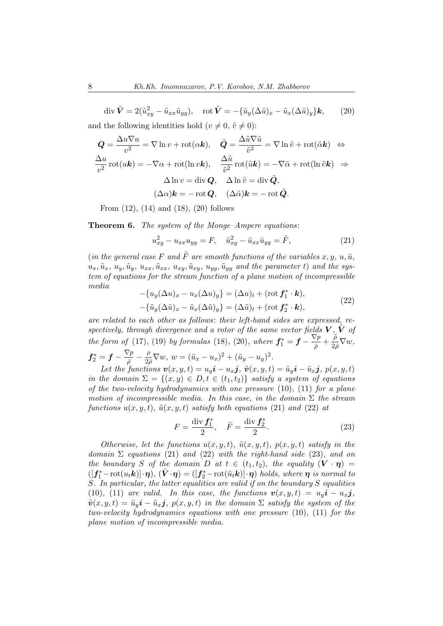$$
\operatorname{div} \tilde{\mathbf{V}} = 2(\tilde{u}_{xy}^2 - \tilde{u}_{xx}\tilde{u}_{yy}), \quad \operatorname{rot} \tilde{\mathbf{V}} = -\{\tilde{u}_y(\Delta \tilde{u})_x - \tilde{u}_x(\Delta \tilde{u})_y\} \mathbf{k}, \qquad (20)
$$
  
and the following identities hold  $(v \neq 0, \tilde{v} \neq 0)$ :

$$
Q = \frac{\Delta u \nabla u}{v^2} = \nabla \ln v + \text{rot}(\alpha \mathbf{k}), \quad \tilde{Q} = \frac{\Delta \tilde{u} \nabla \tilde{u}}{\tilde{v}^2} = \nabla \ln \tilde{v} + \text{rot}(\tilde{\alpha} \mathbf{k}) \iff
$$

$$
\frac{\Delta u}{v^2} \text{rot}(u\mathbf{k}) = -\nabla \alpha + \text{rot}(\ln v \mathbf{k}), \quad \frac{\Delta \tilde{u}}{\tilde{v}^2} \text{rot}(\tilde{u} \mathbf{k}) = -\nabla \tilde{\alpha} + \text{rot}(\ln \tilde{v} \mathbf{k}) \Rightarrow
$$

$$
\Delta \ln v = \text{div } Q, \quad \Delta \ln \tilde{v} = \text{div } \tilde{Q},
$$

$$
(\Delta \alpha) \mathbf{k} = -\text{rot } Q, \quad (\Delta \tilde{\alpha}) \mathbf{k} = -\text{rot } \tilde{Q}.
$$

From (12), (14) and (18), (20) follows

Theorem 6. The system of the Monge-Ampere equations:

$$
u_{xy}^2 - u_{xx}u_{yy} = F, \quad \tilde{u}_{xy}^2 - \tilde{u}_{xx}\tilde{u}_{yy} = \tilde{F}, \tag{21}
$$

(in the general case F and  $\tilde{F}$  are smooth functions of the variables x, y, y,  $\tilde{u}$ ,  $u_x, \tilde{u}_x, u_y, \tilde{u}_y, u_{xx}, \tilde{u}_{xx}, u_{xy}, \tilde{u}_{xy}, u_{yy}, \tilde{u}_{yy}$  and the parameter t) and the system of equations for the stream function of a plane motion of incompressible media

$$
-\{u_y(\Delta u)_x - u_x(\Delta u)_y\} = (\Delta u)_t + (\text{rot } f_1^* \cdot \mathbf{k}),
$$
  

$$
-\{\tilde{u}_y(\Delta \tilde{u})_x - \tilde{u}_x(\Delta \tilde{u})_y\} = (\Delta \tilde{u})_t + (\text{rot } f_2^* \cdot \mathbf{k}),
$$
 (22)

are related to each other as follows: their left-hand sides are expressed, respectively, through divergence and a rotor of the same vector fields  $V, V$  of the form of (17), (19) by formulas (18), (20), where  $f_1^* = f - \frac{\nabla p}{\overline{\rho}}$  $\frac{\bar{\gamma}p}{\bar{\rho}}+\frac{\tilde{\rho}}{2\bar{\rho}}$  $rac{p}{2\bar{\rho}}\nabla w,$  $\boldsymbol{f}^*_2 = \boldsymbol{f} - \frac{\nabla p}{\bar{\rho}}$  $\frac{\overline{\vee}p}{\overline{\rho}}-\frac{\rho}{2\rho}$  $\frac{\rho}{2\bar{\rho}}\nabla w, w = (\tilde{u}_x - u_x)^2 + (\tilde{u}_y - u_y)^2.$ 

Let the functions  $\mathbf{v}(x, y, t) = u_y \mathbf{i} - u_x \mathbf{j}$ ,  $\tilde{\mathbf{v}}(x, y, t) = \tilde{u}_y \mathbf{i} - \tilde{u}_x \mathbf{j}$ ,  $p(x, y, t)$ in the domain  $\Sigma = \{(x, y) \in D, t \in (t_1, t_2)\}\$  satisfy a system of equations of the two-velocity hydrodynamics with one pressure  $(10)$ ,  $(11)$  for a plane motion of incompressible media. In this case, in the domain  $\Sigma$  the stream functions  $u(x, y, t)$ ,  $\tilde{u}(x, y, t)$  satisfy both equations (21) and (22) at

$$
F = \frac{\text{div } f_1^*}{2}, \quad \tilde{F} = \frac{\text{div } f_2^*}{2}.
$$
 (23)

Otherwise, let the functions  $u(x, y, t)$ ,  $\tilde{u}(x, y, t)$ ,  $p(x, y, t)$  satisfy in the domain  $\Sigma$  equations (21) and (22) with the right-hand side (23), and on the boundary S of the domain D at  $t \in (t_1, t_2)$ , the equality  $(\mathbf{V} \cdot \boldsymbol{\eta}) =$  $([f_1^*-\text{rot}(u_t\mathbf{k})]\cdot\boldsymbol{\eta}), (\tilde{V}\cdot\boldsymbol{\eta})=( [f_2^*-\text{rot}(\tilde{u}_t\mathbf{k})]\cdot\boldsymbol{\eta})$  holds, where  $\boldsymbol{\eta}$  is normal to S. In particular, the latter equalities are valid if on the boundary S equalities (10), (11) are valid. In this case, the functions  $v(x, y, t) = u_n i - u_n j$ .  $\tilde{\bm{v}}(x, y, t) = \tilde{u}_y \bm{i} - \tilde{u}_x \bm{j}, p(x, y, t)$  in the domain  $\Sigma$  satisfy the system of the two-velocity hydrodynamics equations with one pressure (10), (11) for the plane motion of incompressible media.